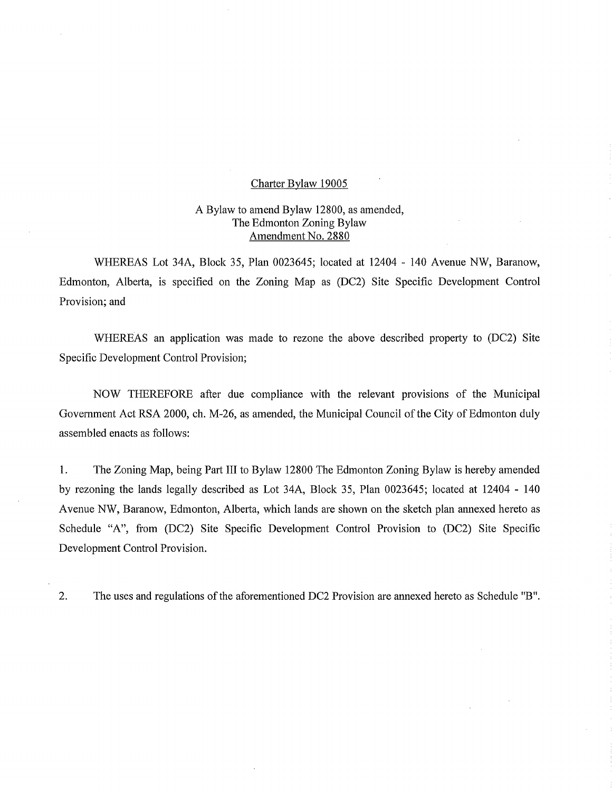# Charter Bylaw 19005

# A Bylaw to amend Bylaw 12800, as amended, The Edmonton Zoning Bylaw Amendment No. 2880

WHEREAS Lot 34A, Block 35, Plan 0023645; located at 12404 - 140 Avenue NW, Baranow, Edmonton, Alberta, is specified on the Zoning Map as (DC2) Site Specific Development Control Provision; and

WHEREAS an application was made to rezone the above described property to (DC2) Site Specific Development Control Provision;

NOW THEREFORE after due compliance with the relevant provisions of the Municipal Government Act RSA 2000, ch. M-26, as amended, the Municipal Council of the City of Edmonton duly assembled enacts as follows:

1. The Zoning Map, being Part III to Bylaw 12800 The Edmonton Zoning Bylaw is hereby amended by rezoning the lands legally described as Lot 34A, Block 35, Plan 0023645; located at 12404 - 140 Avenue NW, Baranow, Edmonton, Alberta, which lands are shown on the sketch plan annexed hereto as Schedule "A", from (DC2) Site Specific Development Control Provision to (DC2) Site Specific Development Control Provision.

2. The uses and regulations of the aforementioned DC2 Provision are annexed hereto as Schedule "B".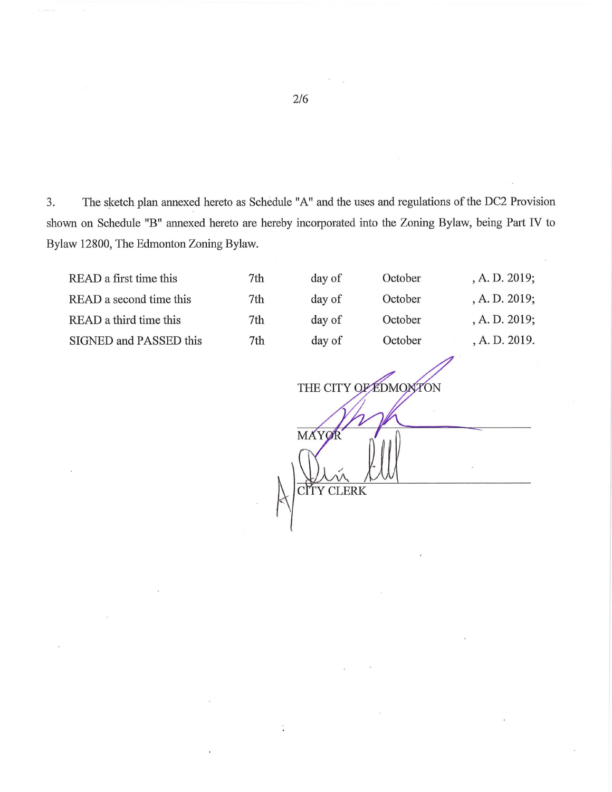3. The sketch plan annexed hereto as Schedule "A" and the uses and regulations of the DC2 Provision shown on Schedule "B" annexed hereto are hereby incorporated into the Zoning Bylaw, being Part IV to Bylaw 12800, The Edmonton Zoning Bylaw.

 $\ddot{\cdot}$ 

READ a first time this 7th READ a second time this 7th READ a third time this 7th SIGNED and PASSED this 7th

| day of | October | , A. D. 2019; |
|--------|---------|---------------|
| day of | October | , A. D. 2019; |
| day of | October | , A. D. 2019; |
| day of | October | , A. D. 2019. |
|        |         |               |

THE CITY OF EDMONTON **MAY** CITY CLERK

2/6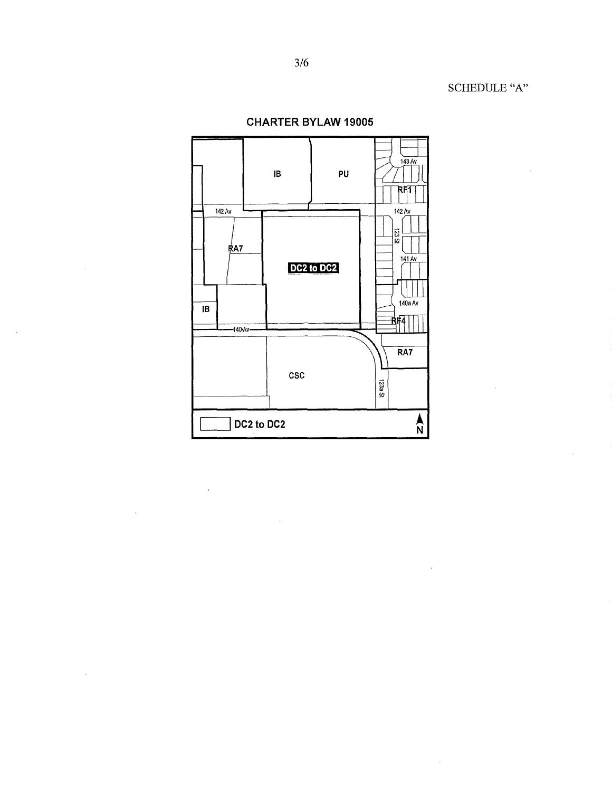SCHEDULE "A"

 $\bar{z}$ 



 $\bar{\mathcal{L}}$ 

 $\bar{\mathcal{A}}$ 

**CHARTER BYLAW 19005**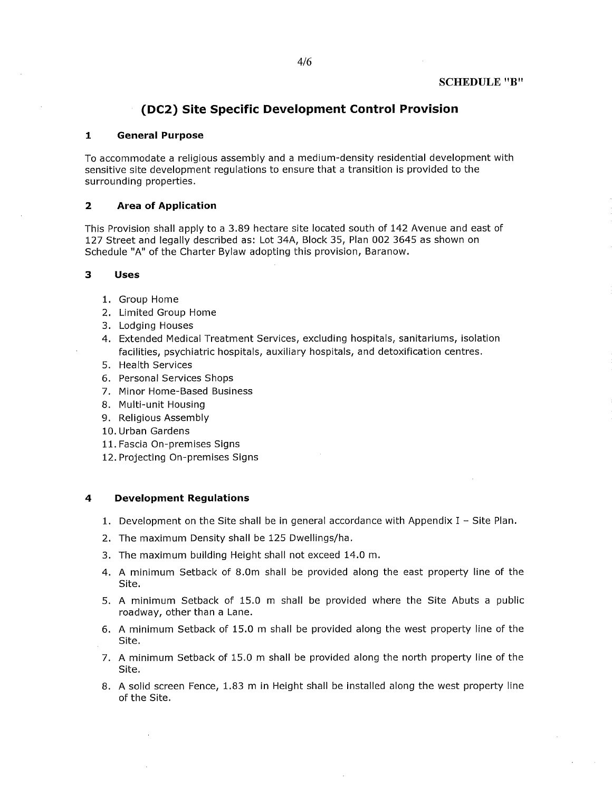## SCHEDULE "B"

# **(DC2) Site Specific Development Control Provision**

#### **1 General Purpose**

To accommodate a religious assembly and a medium-density residential development with sensitive site development regulations to ensure that a transition is provided to the surrounding properties.

### **2 Area of Application**

This Provision shall apply to a 3.89 hectare site located south of 142 Avenue and east of 127 Street and legally described as: Lot 34A, Block 35, Plan 002 3645 as shown on Schedule "A" of the Charter Bylaw adopting this provision, Baranow.

## **3 Uses**

- 1. Group Home
- 2. Limited Group Home
- 3. Lodging Houses
- 4. Extended Medical Treatment Services, excluding hospitals, sanitariums, isolation facilities, psychiatric hospitals, auxiliary hospitals, and detoxification centres.
- 5. Health Services
- 6. Personal Services Shops
- 7. Minor Home-Based Business
- 8. Multi-unit Housing
- 9. Religious Assembly
- 10. Urban Gardens
- 11. Fascia On-premises Signs
- 12. Projecting On-premises Signs

#### **4 Development Regulations**

- 1. Development on the Site shall be in general accordance with Appendix  $I -$  Site Plan.
- 2. The maximum Density shall be 125 Dwellings/ha.
- 3. The maximum building Height shall not exceed 14.0 m.
- 4. A minimum Setback of 8.0m shall be provided along the east property line of the Site.
- 5. A minimum Setback of 15.0 m shall be provided where the Site Abuts a public roadway, other than a Lane.
- 6. A minimum Setback of 15.0 m shall be provided along the west property line of the Site.
- 7. A minimum Setback of 15.0 m shall be provided along the north property line of the Site.
- 8. A solid screen Fence, 1.83 m in Height shall be installed along the west property line of the Site.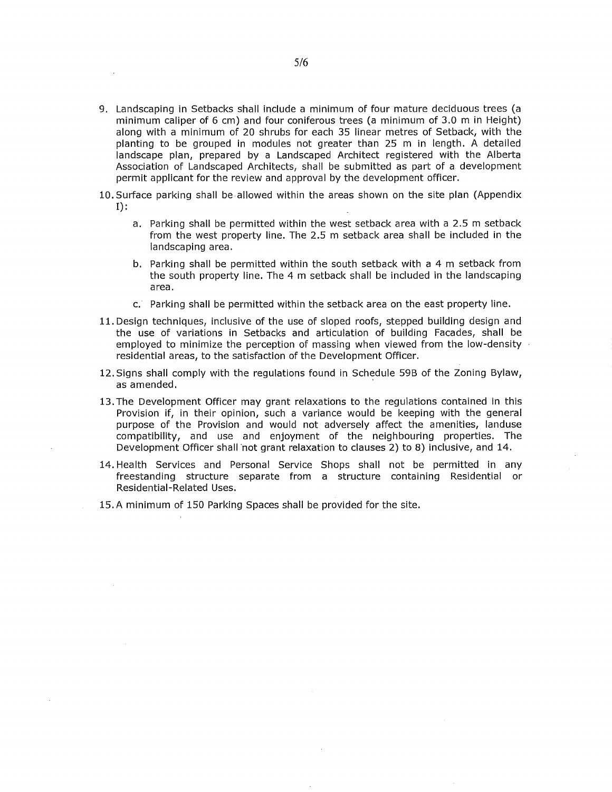- 9. Landscaping in Setbacks shall include a minimum of four mature deciduous trees (a minimum caliper of 6 cm) and four coniferous trees (a minimum of 3.0 m in Height) along with a minimum of 20 shrubs for each 35 linear metres of Setback, with the planting to be grouped in modules not greater than 25 m in length. A detailed landscape plan, prepared by a Landscaped Architect registered with the Alberta Association of Landscaped Architects, shall be submitted as part of a development permit applicant for the review and approval by the development officer.
- 10.Surface parking shall be allowed within the areas shown on the site plan (Appendix  $I$ :
	- a. Parking shall be permitted within the west setback area with a 2.5 m setback from the west property line. The 2.5 m setback area shall be included in the landscaping area.
	- b. Parking shall be permitted within the south setback with a 4 m setback from the south property line. The 4 m setback shall be included in the landscaping area.
	- Parking shall be permitted within the setback area on the east property line.
- 11.Design techniques, inclusive of the use of sloped roofs, stepped building design and the use of variations in Setbacks and articulation of building Facades, shall be employed to minimize the perception of massing when viewed from the low-density residential areas, to the satisfaction of the Development Officer.
- 12.Signs shall comply with the regulations found in Schedule 59B of the Zoning Bylaw, as amended.
- 13.The Development Officer may grant relaxations to the regulations contained in this Provision if, in their opinion, such a variance would be keeping with the general purpose of the Provision and would not adversely affect the amenities, landuse compatibility, and use and enjoyment of the neighbouring properties. The Development Officer shall not grant relaxation to clauses 2) to 8) inclusive, and 14.
- 14. Health Services and Personal Service Shops shall not be permitted in any freestanding structure separate from a structure containing Residential or Residential-Related Uses.
- 15.A minimum of 150 Parking Spaces shall be provided for the site.